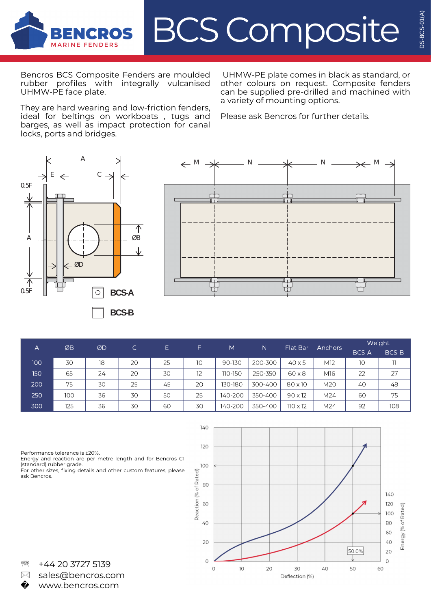

Bencros BCS Composite Fenders are moulded rubber profiles with integrally vulcanised UHMW-PE face plate.

They are hard wearing and low-friction fenders, ideal for beltings on workboats , tugs and barges, as well as impact protection for canal locks, ports and bridges.

UHMW-PE plate comes in black as standard, or other colours on request. Composite fenders can be supplied pre-drilled and machined with a variety of mounting options.

Please ask Bencros for further details.





| А   | ØB  | ØD | C  | E. | F. | M       | N       | Flat Bar        | <b>Anchors</b> | Weight |       |
|-----|-----|----|----|----|----|---------|---------|-----------------|----------------|--------|-------|
|     |     |    |    |    |    |         |         |                 |                | BCS-A  | BCS-B |
| 100 | 30  | 18 | 20 | 25 | 10 | 90-130  | 200-300 | $40\times5$     | M12            | 10     | 11    |
| 150 | 65  | 24 | 20 | 30 | 12 | 110-150 | 250-350 | $60 \times 8$   | M16            | 22     | 27    |
| 200 | 75  | 30 | 25 | 45 | 20 | 130-180 | 300-400 | 80 x 10         | M20            | 40     | 48    |
| 250 | 100 | 36 | 30 | 50 | 25 | 140-200 | 350-400 | $90 \times 12$  | M24            | 60     | 75    |
| 300 | 125 | 36 | 30 | 60 | 30 | 140-200 | 350-400 | $110 \times 12$ | M24            | 92     | 108   |

Performance tolerance is ±20%.

Energy and reaction are per metre length and for Bencros C1 (standard) rubber grade.

For other sizes, fixing details and other custom features, please ask Bencros.



**图 +44 20 3727 5139** � sales@bencros.com www.bencros.com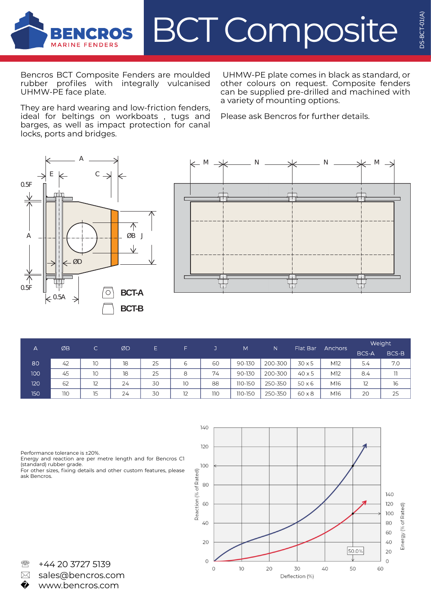

Bencros BCT Composite Fenders are moulded rubber profiles with integrally vulcanised UHMW-PE face plate.

They are hard wearing and low-friction fenders, ideal for beltings on workboats , tugs and barges, as well as impact protection for canal locks, ports and bridges.

UHMW-PE plate comes in black as standard, or other colours on request. Composite fenders can be supplied pre-drilled and machined with a variety of mounting options.

Please ask Bencros for further details.





| А   | ØB  | C. | ØD | Ε  | F  |     | M       | N       | Flat Bar      | <b>Anchors</b>  | Weight |       |
|-----|-----|----|----|----|----|-----|---------|---------|---------------|-----------------|--------|-------|
|     |     |    |    |    |    |     |         |         |               |                 | BCS-A  | BCS-B |
| 80  | 42  | 10 | 18 | 25 | 6  | 60  | 90-130  | 200-300 | 30x5          | M <sub>12</sub> | 5.4    | 7.0   |
| 100 | 45  | 10 | 18 | 25 | 8  | 74  | 90-130  | 200-300 | $40\times5$   | M12             | 8.4    | 11    |
| 120 | 62  | 12 | 24 | 30 | 10 | 88  | 110-150 | 250-350 | 50x6          | M16             | 12     | 16    |
| 150 | 110 | 15 | 24 | 30 | 12 | 110 | 110-150 | 250-350 | $60 \times 8$ | M16             | 20     | 25    |

Performance tolerance is ±20%.

Energy and reaction are per metre length and for Bencros C1

(standard) rubber grade. For other sizes, fixing details and other custom features, please ask Bencros.



**图 +44 20 3727 5139** � sales@bencros.com www.bencros.com